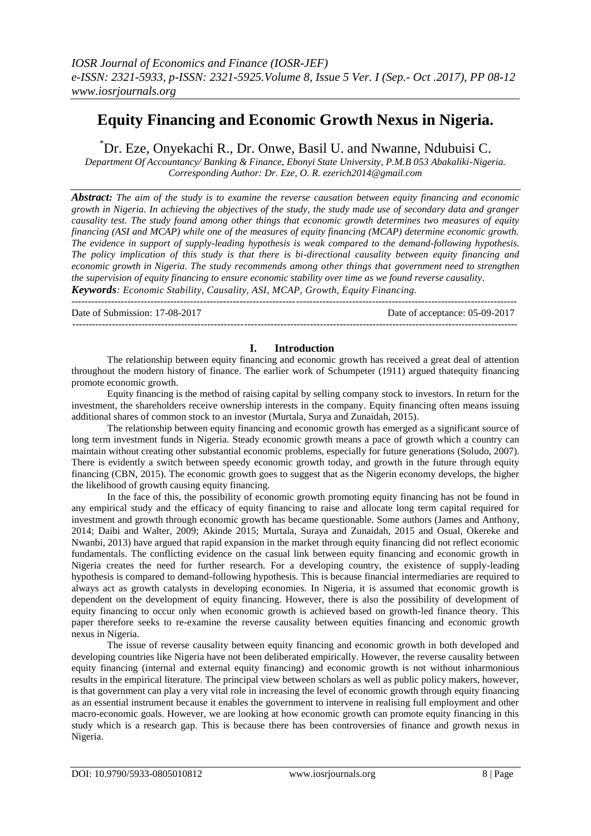# **Equity Financing and Economic Growth Nexus in Nigeria.**

\*Dr. Eze, Onyekachi R., Dr. Onwe, Basil U. and Nwanne, Ndubuisi C.

*Department Of Accountancy/ Banking & Finance, Ebonyi State University, P.M.B 053 Abakaliki-Nigeria. Corresponding Author: Dr. Eze, O. R. ezerich2014@gmail.com*

*Abstract: The aim of the study is to examine the reverse causation between equity financing and economic growth in Nigeria. In achieving the objectives of the study, the study made use of secondary data and granger causality test. The study found among other things that economic growth determines two measures of equity financing (ASI and MCAP) while one of the measures of equity financing (MCAP) determine economic growth. The evidence in support of supply-leading hypothesis is weak compared to the demand-following hypothesis. The policy implication of this study is that there is bi-directional causality between equity financing and economic growth in Nigeria. The study recommends among other things that government need to strengthen the supervision of equity financing to ensure economic stability over time as we found reverse causality. Keywords: Economic Stability, Causality, ASI, MCAP, Growth, Equity Financing.* 

--------------------------------------------------------------------------------------------------------------------------------------- Date of Submission: 17-08-2017 Date of acceptance: 05-09-2017  $-1-\frac{1}{2}$ 

## **I. Introduction**

The relationship between equity financing and economic growth has received a great deal of attention throughout the modern history of finance. The earlier work of Schumpeter (1911) argued thatequity financing promote economic growth.

Equity financing is the method of raising capital by selling company stock to investors. In return for the investment, the shareholders receive ownership interests in the company. Equity financing often means issuing additional shares of common stock to an investor (Murtala, Surya and Zunaidah, 2015).

The relationship between equity financing and economic growth has emerged as a significant source of long term investment funds in Nigeria. Steady economic growth means a pace of growth which a country can maintain without creating other substantial economic problems, especially for future generations (Soludo, 2007). There is evidently a switch between speedy economic growth today, and growth in the future through equity financing (CBN, 2015). The economic growth goes to suggest that as the Nigerin economy develops, the higher the likelihood of growth causing equity financing.

In the face of this, the possibility of economic growth promoting equity financing has not be found in any empirical study and the efficacy of equity financing to raise and allocate long term capital required for investment and growth through economic growth has became questionable. Some authors (James and Anthony, 2014; Daibi and Walter, 2009; Akinde 2015; Murtala, Suraya and Zunaidah, 2015 and Osual, Okereke and Nwanbi, 2013) have argued that rapid expansion in the market through equity financing did not reflect economic fundamentals. The conflicting evidence on the casual link between equity financing and economic growth in Nigeria creates the need for further research. For a developing country, the existence of supply-leading hypothesis is compared to demand-following hypothesis. This is because financial intermediaries are required to always act as growth catalysts in developing economies. In Nigeria, it is assumed that economic growth is dependent on the development of equity financing. However, there is also the possibility of development of equity financing to occur only when economic growth is achieved based on growth-led finance theory. This paper therefore seeks to re-examine the reverse causality between equities financing and economic growth nexus in Nigeria.

The issue of reverse causality between equity financing and economic growth in both developed and developing countries like Nigeria have not been deliberated empirically. However, the reverse causality between equity financing (internal and external equity financing) and economic growth is not without inharmonious results in the empirical literature. The principal view between scholars as well as public policy makers, however, is that government can play a very vital role in increasing the level of economic growth through equity financing as an essential instrument because it enables the government to intervene in realising full employment and other macro-economic goals. However, we are looking at how economic growth can promote equity financing in this study which is a research gap. This is because there has been controversies of finance and growth nexus in Nigeria.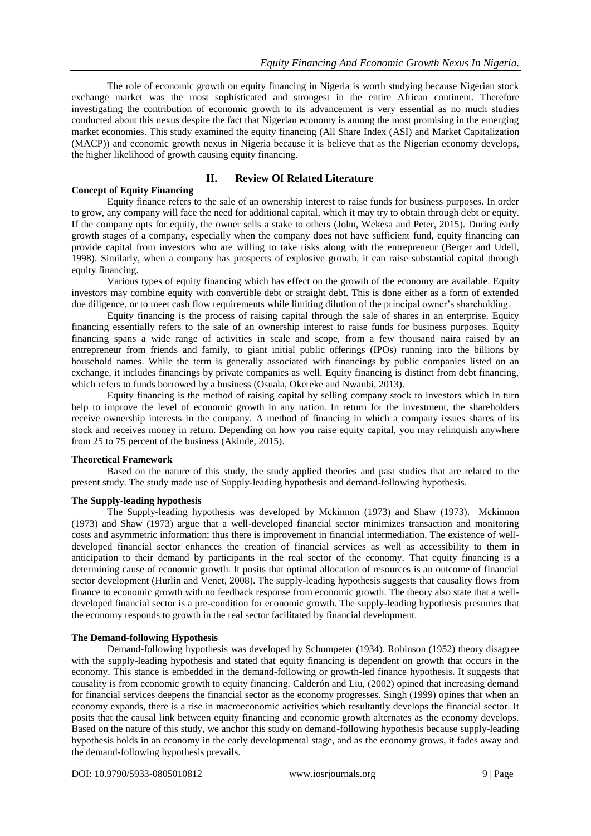The role of economic growth on equity financing in Nigeria is worth studying because Nigerian stock exchange market was the most sophisticated and strongest in the entire African continent. Therefore investigating the contribution of economic growth to its advancement is very essential as no much studies conducted about this nexus despite the fact that Nigerian economy is among the most promising in the emerging market economies. This study examined the equity financing (All Share Index (ASI) and Market Capitalization (MACP)) and economic growth nexus in Nigeria because it is believe that as the Nigerian economy develops, the higher likelihood of growth causing equity financing.

## **II. Review Of Related Literature**

**Concept of Equity Financing** Equity finance refers to the sale of an ownership interest to raise funds for business purposes. In order to grow, any company will face the need for additional capital, which it may try to obtain through debt or equity. If the company opts for equity, the owner sells a stake to others (John, Wekesa and Peter, 2015). During early growth stages of a company, especially when the company does not have sufficient fund, equity financing can provide capital from investors who are willing to take risks along with the entrepreneur (Berger and Udell, 1998). Similarly, when a company has prospects of explosive growth, it can raise substantial capital through equity financing.

Various types of equity financing which has effect on the growth of the economy are available. Equity investors may combine equity with convertible debt or straight debt. This is done either as a form of extended due diligence, or to meet cash flow requirements while limiting dilution of the principal owner's shareholding.

Equity financing is the process of raising capital through the sale of shares in an enterprise. Equity financing essentially refers to the sale of an ownership interest to raise funds for business purposes. Equity financing spans a wide range of activities in scale and scope, from a few thousand naira raised by an entrepreneur from friends and family, to giant initial public offerings (IPOs) running into the billions by household names. While the term is generally associated with financings by public companies listed on an exchange, it includes financings by private companies as well. Equity financing is distinct from debt financing, which refers to funds borrowed by a business (Osuala, Okereke and Nwanbi, 2013).

Equity financing is the method of raising [capital](http://www.investinganswers.com/node/5749) by selling company [stock](http://www.investinganswers.com/node/5150) to investors which in turn help to improve the level of economic growth in any nation. In return for the [investment,](http://www.investinganswers.com/node/4904) the shareholders receive ownership interests in the company. A method of financing in which a company issues shares of its stock and receives money in return. Depending on how you raise equity capital, you may relinquish anywhere from 25 to 75 percent of the business (Akinde, 2015).

## **Theoretical Framework**

Based on the nature of this study, the study applied theories and past studies that are related to the present study. The study made use of Supply-leading hypothesis and demand-following hypothesis.

## **The Supply-leading hypothesis**

The Supply-leading hypothesis was developed by Mckinnon (1973) and Shaw (1973). Mckinnon (1973) and Shaw (1973) argue that a well-developed financial sector minimizes transaction and monitoring costs and asymmetric information; thus there is improvement in financial intermediation. The existence of welldeveloped financial sector enhances the creation of financial services as well as accessibility to them in anticipation to their demand by participants in the real sector of the economy. That equity financing is a determining cause of economic growth. It posits that optimal allocation of resources is an outcome of financial sector development (Hurlin and Venet, 2008). The supply-leading hypothesis suggests that causality flows from finance to economic growth with no feedback response from economic growth. The theory also state that a welldeveloped financial sector is a pre-condition for economic growth. The supply-leading hypothesis presumes that the economy responds to growth in the real sector facilitated by financial development.

## **The Demand-following Hypothesis**

Demand-following hypothesis was developed by Schumpeter (1934). Robinson (1952) theory disagree with the supply-leading hypothesis and stated that equity financing is dependent on growth that occurs in the economy. This stance is embedded in the demand-following or growth-led finance hypothesis. It suggests that causality is from economic growth to equity financing. Calderón and Liu, (2002) opined that increasing demand for financial services deepens the financial sector as the economy progresses. Singh (1999) opines that when an economy expands, there is a rise in macroeconomic activities which resultantly develops the financial sector. It posits that the causal link between equity financing and economic growth alternates as the economy develops. Based on the nature of this study, we anchor this study on demand-following hypothesis because supply-leading hypothesis holds in an economy in the early developmental stage, and as the economy grows, it fades away and the demand-following hypothesis prevails.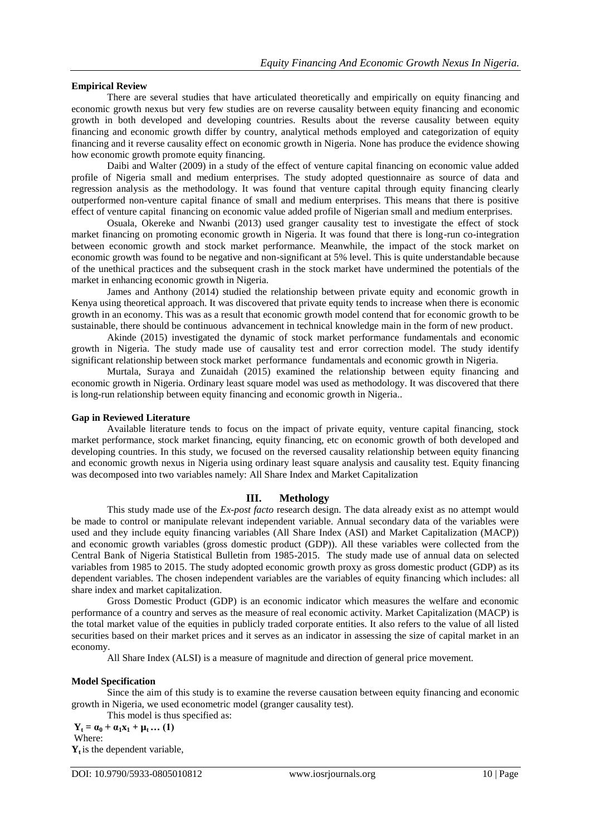#### **Empirical Review**

There are several studies that have articulated theoretically and empirically on equity financing and economic growth nexus but very few studies are on reverse causality between equity financing and economic growth in both developed and developing countries. Results about the reverse causality between equity financing and economic growth differ by country, analytical methods employed and categorization of equity financing and it reverse causality effect on economic growth in Nigeria. None has produce the evidence showing how economic growth promote equity financing.

Daibi and Walter (2009) in a study of the effect of venture capital financing on economic value added profile of Nigeria small and medium enterprises. The study adopted questionnaire as source of data and regression analysis as the methodology. It was found that venture capital through equity financing clearly outperformed non-venture capital finance of small and medium enterprises. This means that there is positive effect of venture capital financing on economic value added profile of Nigerian small and medium enterprises.

Osuala, Okereke and Nwanbi (2013) used granger causality test to investigate the effect of stock market financing on promoting economic growth in Nigeria. It was found that there is long-run co-integration between economic growth and stock market performance. Meanwhile, the impact of the stock market on economic growth was found to be negative and non-significant at 5% level. This is quite understandable because of the unethical practices and the subsequent crash in the stock market have undermined the potentials of the market in enhancing economic growth in Nigeria.

James and Anthony (2014) studied the relationship between private equity and economic growth in Kenya using theoretical approach. It was discovered that private equity tends to increase when there is economic growth in an economy. This was as a result that economic growth model contend that for economic growth to be sustainable, there should be continuous advancement in technical knowledge main in the form of new product.

Akinde (2015) investigated the dynamic of stock market performance fundamentals and economic growth in Nigeria. The study made use of causality test and error correction model. The study identify significant relationship between stock market performance fundamentals and economic growth in Nigeria.

Murtala, Suraya and Zunaidah (2015) examined the relationship between equity financing and economic growth in Nigeria. Ordinary least square model was used as methodology. It was discovered that there is long-run relationship between equity financing and economic growth in Nigeria..

### **Gap in Reviewed Literature**

Available literature tends to focus on the impact of private equity, venture capital financing, stock market performance, stock market financing, equity financing, etc on economic growth of both developed and developing countries. In this study, we focused on the reversed causality relationship between equity financing and economic growth nexus in Nigeria using ordinary least square analysis and causality test. Equity financing was decomposed into two variables namely: All Share Index and Market Capitalization

#### **III. Methology**

This study made use of the *Ex-post facto* research design. The data already exist as no attempt would be made to control or manipulate relevant independent variable. Annual secondary data of the variables were used and they include equity financing variables (All Share Index (ASI) and Market Capitalization (MACP)) and economic growth variables (gross domestic product (GDP)). All these variables were collected from the Central Bank of Nigeria Statistical Bulletin from 1985-2015. The study made use of annual data on selected variables from 1985 to 2015. The study adopted economic growth proxy as gross domestic product (GDP) as its dependent variables. The chosen independent variables are the variables of equity financing which includes: all share index and market capitalization.

Gross Domestic Product (GDP) is an economic indicator which measures the welfare and economic performance of a country and serves as the measure of real economic activity. Market Capitalization (MACP) is the total market value of the equities in publicly traded corporate entities. It also refers to the value of all listed securities based on their market prices and it serves as an indicator in assessing the size of capital market in an economy.

All Share Index (ALSI) is a measure of magnitude and direction of general price movement.

#### **Model Specification**

Since the aim of this study is to examine the reverse causation between equity financing and economic growth in Nigeria, we used econometric model (granger causality test).

This model is thus specified as:

 $Y_t = \alpha_0 + \alpha_1 X_1 + \mu_t ... (1)$ Where:

**Yt** is the dependent variable,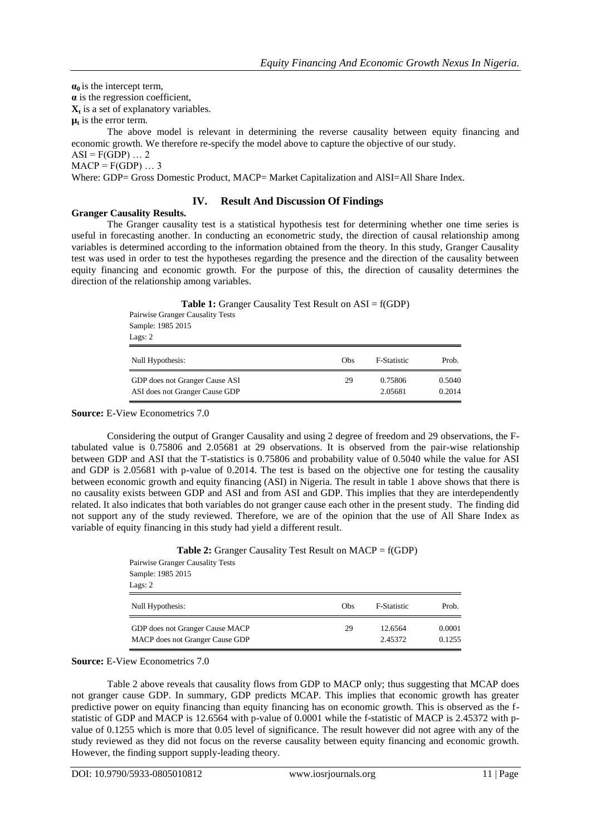$\alpha_0$  is the intercept term,

**α** is the regression coefficient,

**Xt** is a set of explanatory variables.

 $\mu$ <sup>t</sup> is the error term.

The above model is relevant in determining the reverse causality between equity financing and economic growth. We therefore re-specify the model above to capture the objective of our study.  $ASI = F(GDP) \dots 2$ 

 $MACP = F(GDP) ... 3$ 

Where: GDP= Gross Domestic Product, MACP= Market Capitalization and AlSI=All Share Index.

## **IV. Result And Discussion Of Findings**

**Granger Causality Results.**

The Granger causality test is a statistical hypothesis test for determining whether one time series is useful in forecasting another. In conducting an econometric study, the direction of causal relationship among variables is determined according to the information obtained from the theory. In this study, Granger Causality test was used in order to test the hypotheses regarding the presence and the direction of the causality between equity financing and economic growth. For the purpose of this, the direction of causality determines the direction of the relationship among variables.

> **Table 1:** Granger Causality Test Result on ASI = f(GDP) Pairwise Granger Causality Tests Sample: 1985 2015 Lags: 2 Null Hypothesis: Obs F-Statistic Prob. GDP does not Granger Cause ASI 29 0.75806 0.5040 ASI does not Granger Cause GDP 2.05681 0.2014

#### **Source:** E-View Econometrics 7.0

Considering the output of Granger Causality and using 2 degree of freedom and 29 observations, the Ftabulated value is 0.75806 and 2.05681 at 29 observations. It is observed from the pair-wise relationship between GDP and ASI that the T-statistics is 0.75806 and probability value of 0.5040 while the value for ASI and GDP is 2.05681 with p-value of 0.2014. The test is based on the objective one for testing the causality between economic growth and equity financing (ASI) in Nigeria. The result in table 1 above shows that there is no causality exists between GDP and ASI and from ASI and GDP. This implies that they are interdependently related. It also indicates that both variables do not granger cause each other in the present study. The finding did not support any of the study reviewed. Therefore, we are of the opinion that the use of All Share Index as variable of equity financing in this study had yield a different result.

> Pairwise Granger Causality Tests Sample: 1985 2015 Lags: 2 Null Hypothesis: Obs F-Statistic Prob. GDP does not Granger Cause MACP 29 12.6564 0.0001 MACP does not Granger Cause GDP 2.45372 0.1255

**Table 2:** Granger Causality Test Result on MACP = f(GDP)

**Source:** E-View Econometrics 7.0

Table 2 above reveals that causality flows from GDP to MACP only; thus suggesting that MCAP does not granger cause GDP. In summary, GDP predicts MCAP. This implies that economic growth has greater predictive power on equity financing than equity financing has on economic growth. This is observed as the fstatistic of GDP and MACP is 12.6564 with p-value of 0.0001 while the f-statistic of MACP is 2.45372 with pvalue of 0.1255 which is more that 0.05 level of significance. The result however did not agree with any of the study reviewed as they did not focus on the reverse causality between equity financing and economic growth. However, the finding support supply-leading theory.